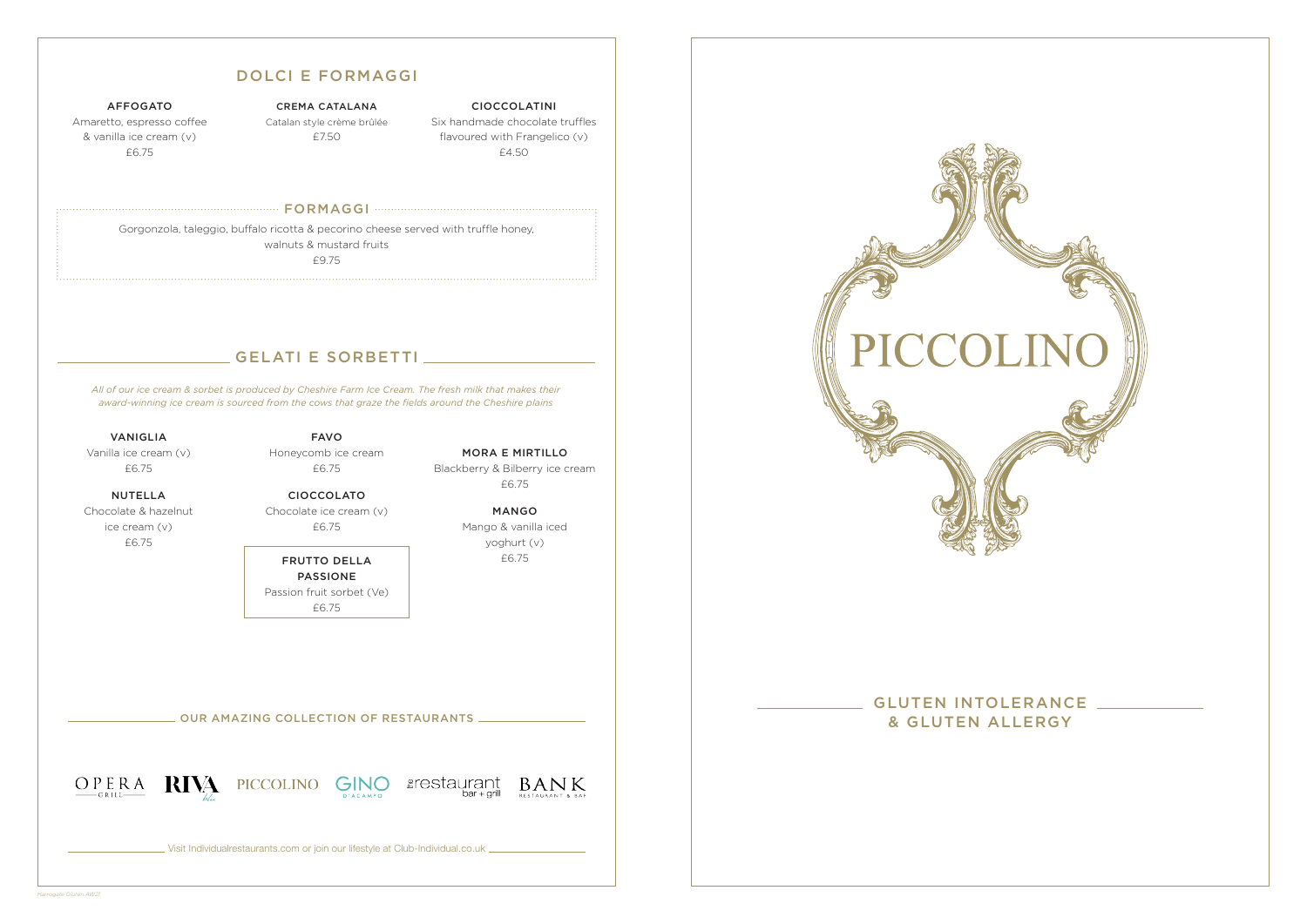OUR AMAZING COLLECTION OF RESTAURANTS



Visit Individualrestaurants.com or join our lifestyle at Club-Individual.co.uk



# GLUTEN INTOLERANCE

& GLUTEN ALLERGY

AFFOGATO

Amaretto, espresso coffee & vanilla ice cream (v) £6.75

#### CREMA CATALANA Catalan style crème brûlée £7.50

CIOCCOLATINI Six handmade chocolate truffles flavoured with Frangelico (v) £4.50

#### FORMAGGI

Gorgonzola, taleggio, buffalo ricotta & pecorino cheese served with truffle honey, walnuts & mustard fruits £9.75

### DOLCI E FORMAGGI

### GELATI E SORBETTI

VANIGLIA Vanilla ice cream (v) £6.75

NUTELLA Chocolate & hazelnut ice cream (v) £6.75

FAVO Honeycomb ice cream £6.75

CIOCCOLATO Chocolate ice cream (v)

£6.75

FRUTTO DELLA PASSIONE Passion fruit sorbet (Ve) £6.75

MORA E MIRTILLO Blackberry & Bilberry ice cream £6.75

> MANGO Mango & vanilla iced yoghurt (v) £6.75

*All of our ice cream & sorbet is produced by Cheshire Farm Ice Cream. The fresh milk that makes their award-winning ice cream is sourced from the cows that graze the fields around the Cheshire plains*